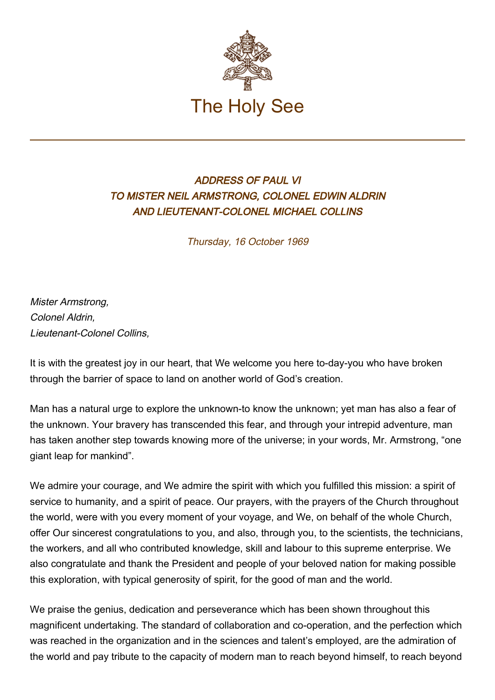

## ADDRESS OF PAUL VI TO MISTER NEIL ARMSTRONG, COLONEL EDWIN ALDRIN AND LIEUTENANT-COLONEL MICHAEL COLLINS

Thursday, 16 October 1969

Mister Armstrong, Colonel Aldrin, Lieutenant-Colonel Collins,

It is with the greatest joy in our heart, that We welcome you here to-day-you who have broken through the barrier of space to land on another world of God's creation.

Man has a natural urge to explore the unknown-to know the unknown; yet man has also a fear of the unknown. Your bravery has transcended this fear, and through your intrepid adventure, man has taken another step towards knowing more of the universe; in your words, Mr. Armstrong, "one giant leap for mankind".

We admire your courage, and We admire the spirit with which you fulfilled this mission: a spirit of service to humanity, and a spirit of peace. Our prayers, with the prayers of the Church throughout the world, were with you every moment of your voyage, and We, on behalf of the whole Church, offer Our sincerest congratulations to you, and also, through you, to the scientists, the technicians, the workers, and all who contributed knowledge, skill and labour to this supreme enterprise. We also congratulate and thank the President and people of your beloved nation for making possible this exploration, with typical generosity of spirit, for the good of man and the world.

We praise the genius, dedication and perseverance which has been shown throughout this magnificent undertaking. The standard of collaboration and co-operation, and the perfection which was reached in the organization and in the sciences and talent's employed, are the admiration of the world and pay tribute to the capacity of modern man to reach beyond himself, to reach beyond